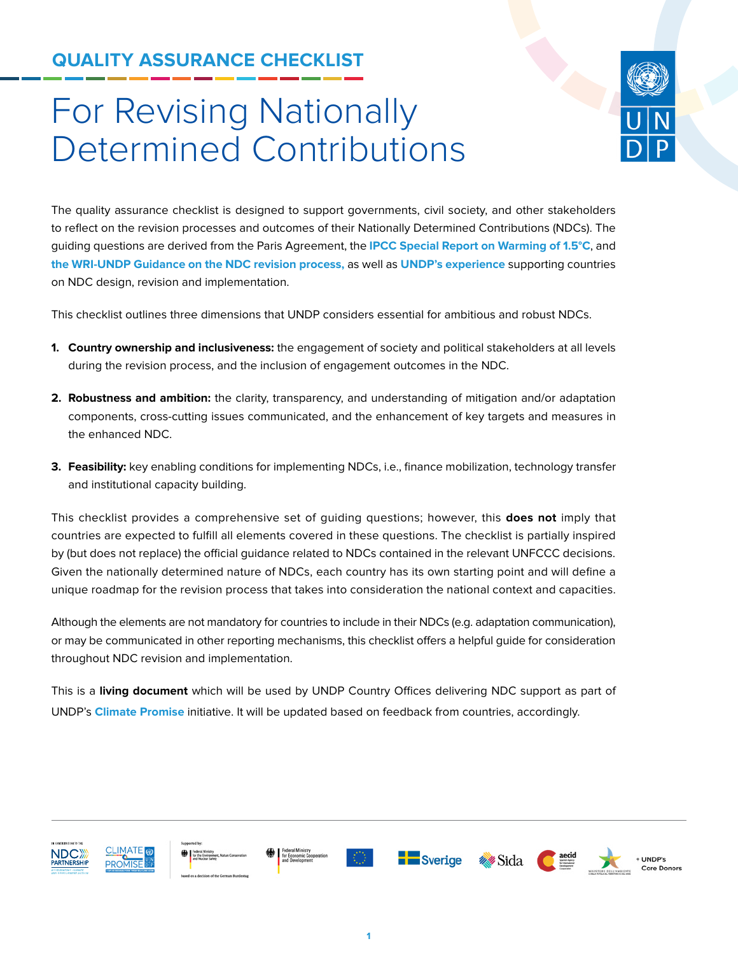# **QUALITY ASSURANCE CHECKLIST**

# For Revising Nationally Determined Contributions



The quality assurance checklist is designed to support governments, civil society, and other stakeholders to reflect on the revision processes and outcomes of their Nationally Determined Contributions (NDCs). The guiding questions are derived from the Paris Agreement, the **[IPCC Special Report on Warming of 1.5°C](https://www.ipcc.ch/sr15/)**, and **[the WRI-UNDP Guidance on the NDC revision process,](https://www.wri.org/publication/enhancing-ndcs)** as well as **[UNDP's experience](https://www.undp.org/content/undp/en/home/climatepromise.html)** supporting countries on NDC design, revision and implementation.

This checklist outlines three dimensions that UNDP considers essential for ambitious and robust NDCs.

- **1. Country ownership and inclusiveness:** the engagement of society and political stakeholders at all levels during the revision process, and the inclusion of engagement outcomes in the NDC.
- **2. Robustness and ambition:** the clarity, transparency, and understanding of mitigation and/or adaptation components, cross-cutting issues communicated, and the enhancement of key targets and measures in the enhanced NDC.
- **3. Feasibility:** key enabling conditions for implementing NDCs, i.e., finance mobilization, technology transfer and institutional capacity building.

This checklist provides a comprehensive set of guiding questions; however, this **does not** imply that countries are expected to fulfill all elements covered in these questions. The checklist is partially inspired by (but does not replace) the official guidance related to NDCs contained in the relevant UNFCCC decisions. Given the nationally determined nature of NDCs, each country has its own starting point and will define a unique roadmap for the revision process that takes into consideration the national context and capacities.

Although the elements are not mandatory for countries to include in their NDCs (e.g. adaptation communication), or may be communicated in other reporting mechanisms, this checklist offers a helpful guide for consideration throughout NDC revision and implementation.

This is a **living document** which will be used by UNDP Country Offices delivering NDC support as part of UNDP's **[Climate Promise](https://www.undp.org/content/undp/en/home/climatepromise.html)** initiative. It will be updated based on feedback from countries, accordingly.

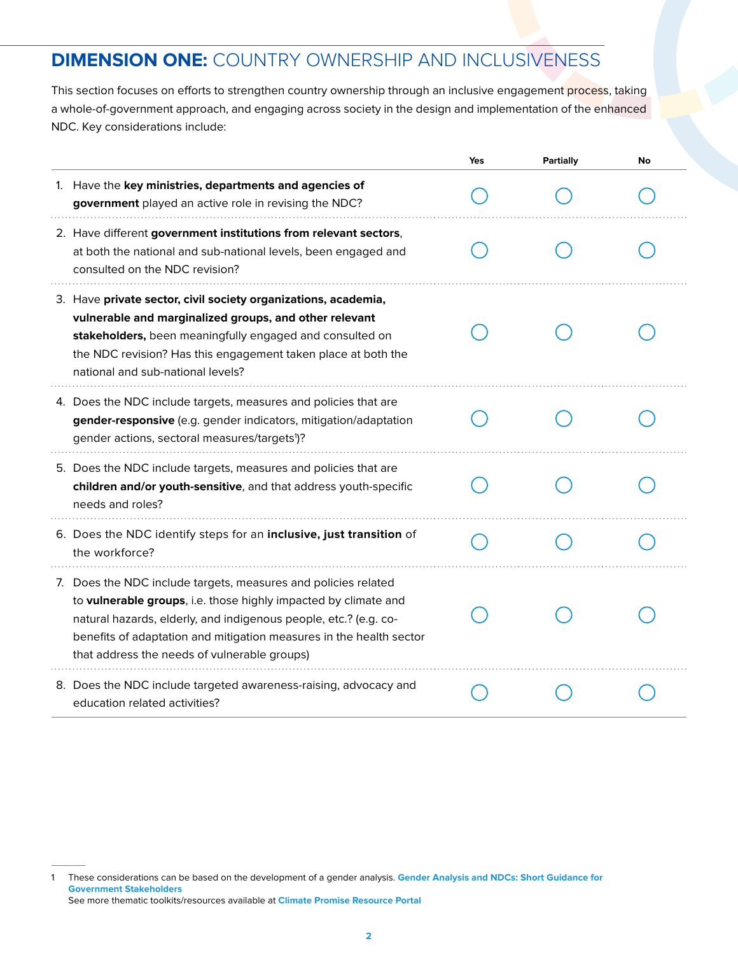# **DIMENSION ONE:** COUNTRY OWNERSHIP AND INCLUSIVENESS

This section focuses on efforts to strengthen country ownership through an inclusive engagement process, taking a whole-of-government approach, and engaging across society in the design and implementation of the enhanced NDC. Key considerations include:

|                                                                                                                                                                                                                                                                                                                              | Yes | Partially | No |
|------------------------------------------------------------------------------------------------------------------------------------------------------------------------------------------------------------------------------------------------------------------------------------------------------------------------------|-----|-----------|----|
| 1. Have the key ministries, departments and agencies of<br>government played an active role in revising the NDC?                                                                                                                                                                                                             |     |           |    |
| 2. Have different government institutions from relevant sectors,<br>at both the national and sub-national levels, been engaged and<br>consulted on the NDC revision?                                                                                                                                                         |     |           |    |
| 3. Have private sector, civil society organizations, academia,<br>vulnerable and marginalized groups, and other relevant<br>stakeholders, been meaningfully engaged and consulted on<br>the NDC revision? Has this engagement taken place at both the<br>national and sub-national levels?                                   |     |           |    |
| 4. Does the NDC include targets, measures and policies that are<br>gender-responsive (e.g. gender indicators, mitigation/adaptation<br>gender actions, sectoral measures/targets <sup>1</sup> )?                                                                                                                             |     |           |    |
| 5. Does the NDC include targets, measures and policies that are<br>children and/or youth-sensitive, and that address youth-specific<br>needs and roles?                                                                                                                                                                      |     |           |    |
| 6. Does the NDC identify steps for an inclusive, just transition of<br>the workforce?                                                                                                                                                                                                                                        |     |           |    |
| 7. Does the NDC include targets, measures and policies related<br>to vulnerable groups, i.e. those highly impacted by climate and<br>natural hazards, elderly, and indigenous people, etc.? (e.g. co-<br>benefits of adaptation and mitigation measures in the health sector<br>that address the needs of vulnerable groups) |     |           |    |
| 8. Does the NDC include targeted awareness-raising, advocacy and<br>education related activities?                                                                                                                                                                                                                            |     |           |    |

<sup>1</sup> These considerations can be based on the development of a gender analysis. **[Gender Analysis and NDCs: Short Guidance for](https://www.ndcs.undp.org/content/ndc-support-programme/en/home/impact-and-learning/library/gender-analysis-and-ndcs--short-guidance-for-government-stakehol.html)  [Government Stakeholders](https://www.ndcs.undp.org/content/ndc-support-programme/en/home/impact-and-learning/library/gender-analysis-and-ndcs--short-guidance-for-government-stakehol.html)** See more thematic toolkits/resources available at **[Climate Promise Resource Portal](https://undp.sharepoint.com/sites/ClimatePromise)**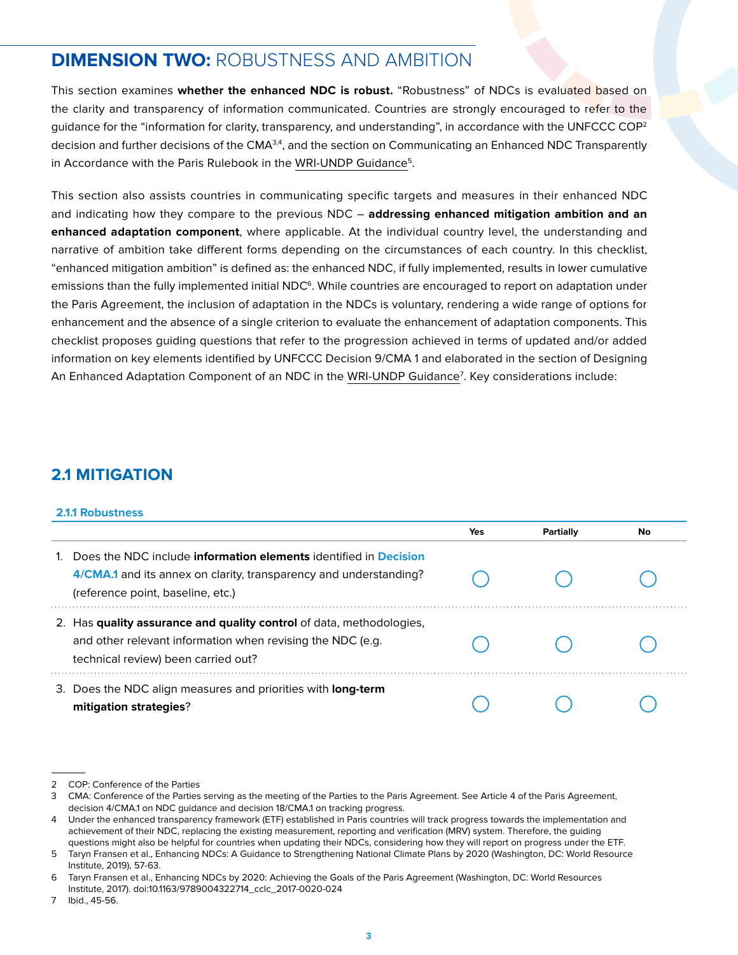# **DIMENSION TWO:** ROBUSTNESS AND AMBITION

This section examines **whether the enhanced NDC is robust.** "Robustness" of NDCs is evaluated based on the clarity and transparency of information communicated. Countries are strongly encouraged to refer to the quidance for the "information for clarity, transparency, and understanding", in accordance with the UNFCCC COP<sup>2</sup> decision and further decisions of the CMA $^{3,4}$ , and the section on Communicating an Enhanced NDC Transparently in Accordance with the Paris Rulebook in the WRI-UNDP Guidance<sup>5</sup>.

This section also assists countries in communicating specific targets and measures in their enhanced NDC and indicating how they compare to the previous NDC – **addressing enhanced mitigation ambition and an enhanced adaptation component**, where applicable. At the individual country level, the understanding and narrative of ambition take different forms depending on the circumstances of each country. In this checklist, "enhanced mitigation ambition" is defined as: the enhanced NDC, if fully implemented, results in lower cumulative emissions than the fully implemented initial  $NDC<sup>6</sup>$ . While countries are encouraged to report on adaptation under the Paris Agreement, the inclusion of adaptation in the NDCs is voluntary, rendering a wide range of options for enhancement and the absence of a single criterion to evaluate the enhancement of adaptation components. This checklist proposes guiding questions that refer to the progression achieved in terms of updated and/or added information on key elements identified by UNFCCC Decision 9/CMA 1 and elaborated in the section of Designing An Enhanced Adaptation Component of an NDC in the WRI-UNDP Guidance7 . Key considerations include:

### **2.1 MITIGATION**

#### **2.1.1 Robustness**

|                                                                                                                                                                                          | Yes | Partially | No |
|------------------------------------------------------------------------------------------------------------------------------------------------------------------------------------------|-----|-----------|----|
| Does the NDC include <b>information elements</b> identified in <b>Decision</b><br>4/CMA.1 and its annex on clarity, transparency and understanding?<br>(reference point, baseline, etc.) |     |           |    |
| 2. Has quality assurance and quality control of data, methodologies,<br>and other relevant information when revising the NDC (e.g.<br>technical review) been carried out?                |     |           |    |
| 3. Does the NDC align measures and priorities with long-term<br>mitigation strategies?                                                                                                   |     |           |    |

<sup>2</sup> COP: Conference of the Parties

<sup>3</sup> CMA: Conference of the Parties serving as the meeting of the Parties to the Paris Agreement. See Article 4 of the Paris Agreement, decision 4/CMA.1 on NDC guidance and decision 18/CMA.1 on tracking progress.

<sup>4</sup> Under the enhanced transparency framework (ETF) established in Paris countries will track progress towards the implementation and achievement of their NDC, replacing the existing measurement, reporting and verification (MRV) system. Therefore, the guiding questions might also be helpful for countries when updating their NDCs, considering how they will report on progress under the ETF.

<sup>5</sup> Taryn Fransen et al., Enhancing NDCs: A Guidance to Strengthening National Climate Plans by 2020 (Washington, DC: World Resource Institute, 2019), 57-63.

<sup>6</sup> Taryn Fransen et al., Enhancing NDCs by 2020: Achieving the Goals of the Paris Agreement (Washington, DC: World Resources Institute, 2017). doi:10.1163/9789004322714\_cclc\_2017-0020-024

<sup>7</sup> Ibid., 45-56.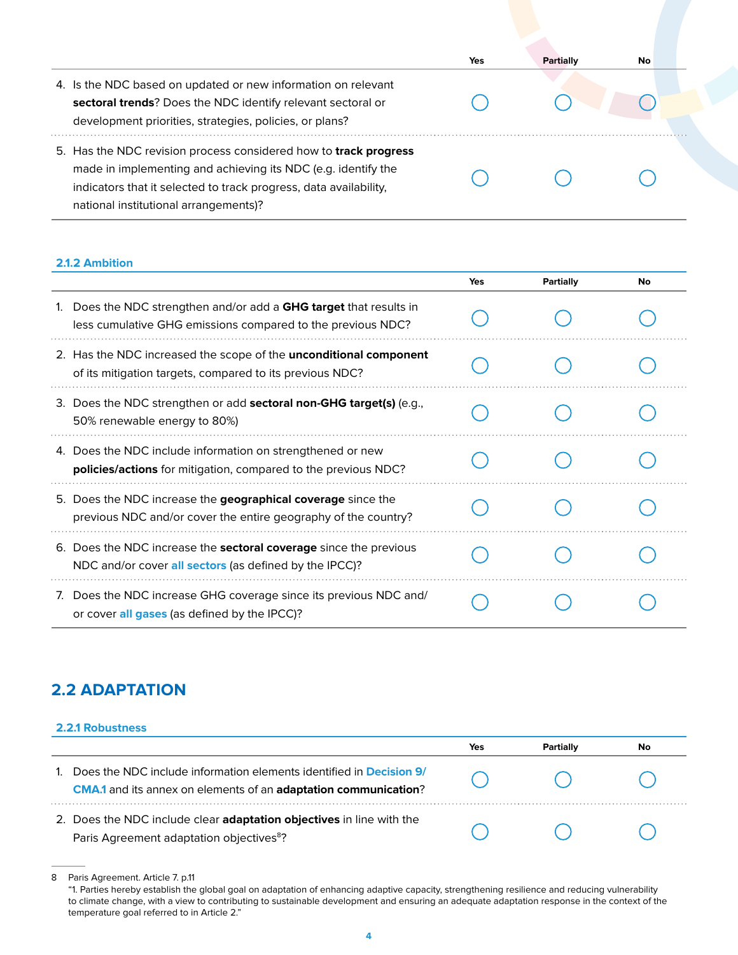|                                                                                                                                                                                                                                                        | Yes | Partially | No. |
|--------------------------------------------------------------------------------------------------------------------------------------------------------------------------------------------------------------------------------------------------------|-----|-----------|-----|
| 4. Is the NDC based on updated or new information on relevant<br>sectoral trends? Does the NDC identify relevant sectoral or<br>development priorities, strategies, policies, or plans?                                                                |     |           |     |
| 5. Has the NDC revision process considered how to <b>track progress</b><br>made in implementing and achieving its NDC (e.g. identify the<br>indicators that it selected to track progress, data availability,<br>national institutional arrangements)? |     |           |     |

#### **2.1.2 Ambition**

|                                                                                                                                      | Yes | Partially | No |
|--------------------------------------------------------------------------------------------------------------------------------------|-----|-----------|----|
| Does the NDC strengthen and/or add a GHG target that results in<br>less cumulative GHG emissions compared to the previous NDC?       |     |           |    |
| 2. Has the NDC increased the scope of the <b>unconditional component</b><br>of its mitigation targets, compared to its previous NDC? |     |           |    |
| 3. Does the NDC strengthen or add <b>sectoral non-GHG target(s)</b> (e.g.,<br>50% renewable energy to 80%)                           |     |           |    |
| 4. Does the NDC include information on strengthened or new<br><b>policies/actions</b> for mitigation, compared to the previous NDC?  |     |           |    |
| 5. Does the NDC increase the geographical coverage since the<br>previous NDC and/or cover the entire geography of the country?       |     |           |    |
| 6. Does the NDC increase the <b>sectoral coverage</b> since the previous<br>NDC and/or cover all sectors (as defined by the IPCC)?   |     |           |    |
| Does the NDC increase GHG coverage since its previous NDC and/<br>7.<br>or cover all gases (as defined by the IPCC)?                 |     |           |    |

## **2.2 ADAPTATION**

#### **2.2.1 Robustness**

|                                                                                                                                                      | Yes | Partially | No |
|------------------------------------------------------------------------------------------------------------------------------------------------------|-----|-----------|----|
| Does the NDC include information elements identified in <b>Decision 9/</b><br><b>CMA.1</b> and its annex on elements of an adaptation communication? |     |           |    |
| 2. Does the NDC include clear <b>adaptation objectives</b> in line with the<br>Paris Agreement adaptation objectives <sup>8</sup> ?                  |     |           |    |

<sup>8</sup> Paris Agreement. Article 7. p.11 "1. Parties hereby establish the global goal on adaptation of enhancing adaptive capacity, strengthening resilience and reducing vulnerability to climate change, with a view to contributing to sustainable development and ensuring an adequate adaptation response in the context of the temperature goal referred to in Article 2."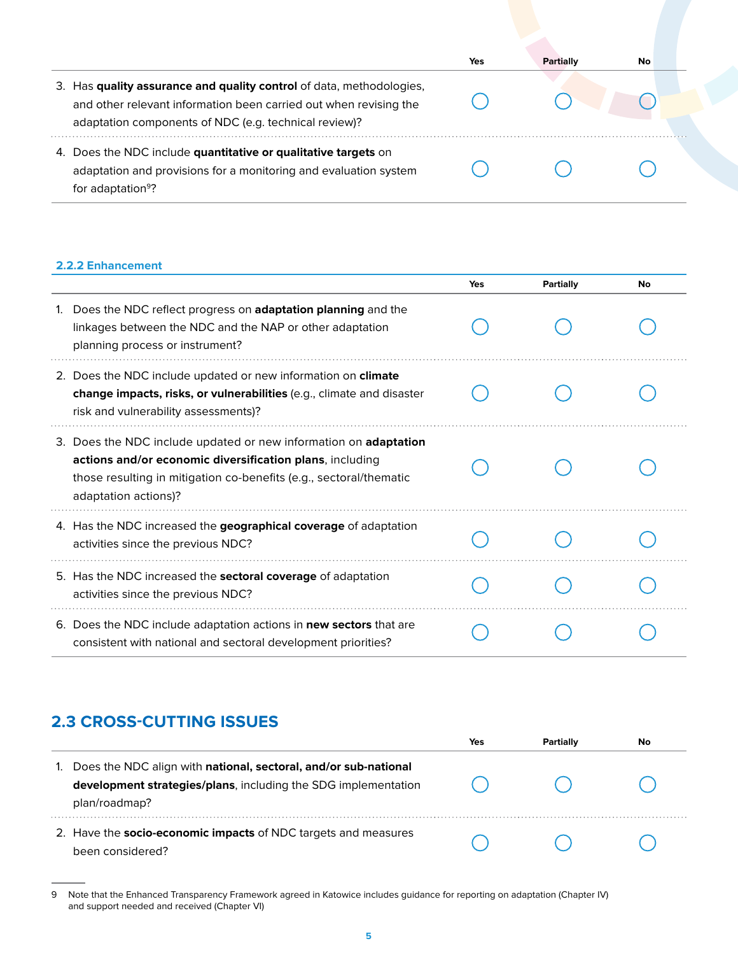|                                                                                                                                                                                                    | Yes | Partially | No. |
|----------------------------------------------------------------------------------------------------------------------------------------------------------------------------------------------------|-----|-----------|-----|
| 3. Has quality assurance and quality control of data, methodologies,<br>and other relevant information been carried out when revising the<br>adaptation components of NDC (e.g. technical review)? |     |           |     |
| 4. Does the NDC include quantitative or qualitative targets on<br>adaptation and provisions for a monitoring and evaluation system<br>for adaptation <sup>9</sup> ?                                |     |           |     |

#### **2.2.2 Enhancement**

|                                                                                                                                                                                                                            | Yes | <b>Partially</b> | No |
|----------------------------------------------------------------------------------------------------------------------------------------------------------------------------------------------------------------------------|-----|------------------|----|
| Does the NDC reflect progress on adaptation planning and the<br>linkages between the NDC and the NAP or other adaptation<br>planning process or instrument?                                                                |     |                  |    |
| 2. Does the NDC include updated or new information on climate<br>change impacts, risks, or vulnerabilities (e.g., climate and disaster<br>risk and vulnerability assessments)?                                             |     |                  |    |
| 3. Does the NDC include updated or new information on adaptation<br>actions and/or economic diversification plans, including<br>those resulting in mitigation co-benefits (e.g., sectoral/thematic<br>adaptation actions)? |     |                  |    |
| 4. Has the NDC increased the geographical coverage of adaptation<br>activities since the previous NDC?                                                                                                                     |     |                  |    |
| 5. Has the NDC increased the sectoral coverage of adaptation<br>activities since the previous NDC?                                                                                                                         |     |                  |    |
| 6. Does the NDC include adaptation actions in new sectors that are<br>consistent with national and sectoral development priorities?                                                                                        |     |                  |    |

# **2.3 CROSS-CUTTING ISSUES**

|                                                                                                                                                    | Yes | Partially | No |
|----------------------------------------------------------------------------------------------------------------------------------------------------|-----|-----------|----|
| Does the NDC align with national, sectoral, and/or sub-national<br>development strategies/plans, including the SDG implementation<br>plan/roadmap? |     |           |    |
| 2. Have the socio-economic impacts of NDC targets and measures<br>been considered?                                                                 |     |           |    |

<sup>9</sup> Note that the Enhanced Transparency Framework agreed in Katowice includes guidance for reporting on adaptation (Chapter IV) and support needed and received (Chapter VI)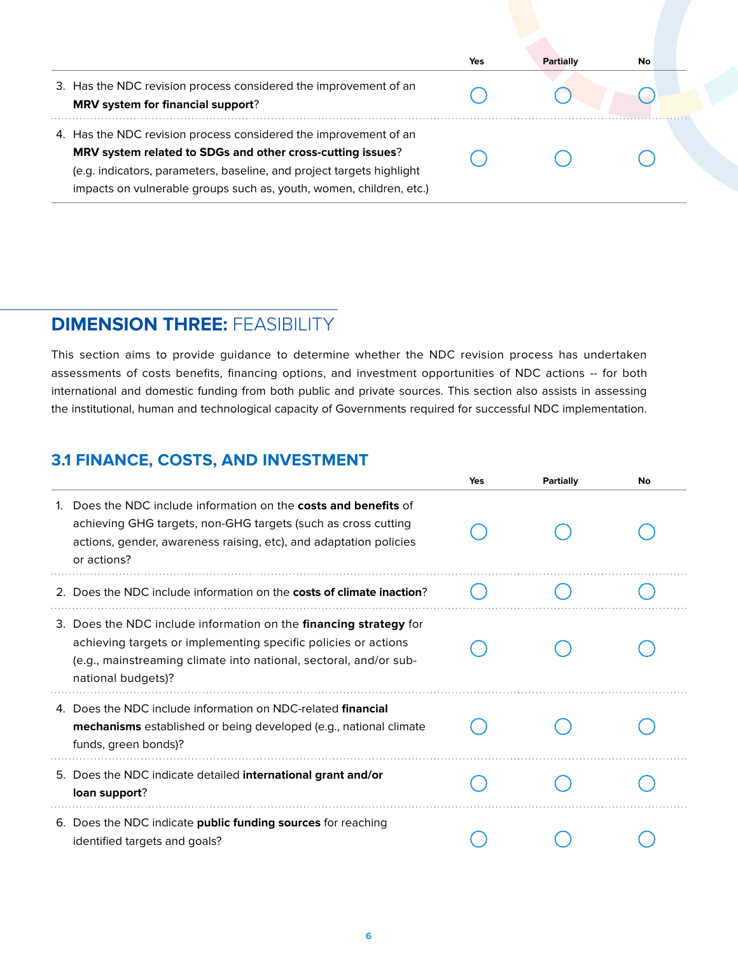|                                                                                                                                                                                                                                                                                | Yes | Partially | No |
|--------------------------------------------------------------------------------------------------------------------------------------------------------------------------------------------------------------------------------------------------------------------------------|-----|-----------|----|
| 3. Has the NDC revision process considered the improvement of an<br>MRV system for financial support?                                                                                                                                                                          |     |           |    |
| 4. Has the NDC revision process considered the improvement of an<br>MRV system related to SDGs and other cross-cutting issues?<br>(e.g. indicators, parameters, baseline, and project targets highlight<br>impacts on vulnerable groups such as, youth, women, children, etc.) |     |           |    |

# **DIMENSION THREE:** FEASIBILITY

This section aims to provide guidance to determine whether the NDC revision process has undertaken assessments of costs benefits, financing options, and investment opportunities of NDC actions -- for both international and domestic funding from both public and private sources. This section also assists in assessing the institutional, human and technological capacity of Governments required for successful NDC implementation.

## **3.1 FINANCE, COSTS, AND INVESTMENT**

|                                                                                                                                                                                                                                | Yes | Partially | No |
|--------------------------------------------------------------------------------------------------------------------------------------------------------------------------------------------------------------------------------|-----|-----------|----|
| Does the NDC include information on the <b>costs and benefits</b> of<br>achieving GHG targets, non-GHG targets (such as cross cutting<br>actions, gender, awareness raising, etc), and adaptation policies<br>or actions?      |     |           |    |
| 2. Does the NDC include information on the <b>costs of climate inaction</b> ?                                                                                                                                                  |     |           |    |
| 3. Does the NDC include information on the financing strategy for<br>achieving targets or implementing specific policies or actions<br>(e.g., mainstreaming climate into national, sectoral, and/or sub-<br>national budgets)? |     |           |    |
| 4. Does the NDC include information on NDC-related <b>financial</b><br><b>mechanisms</b> established or being developed (e.g., national climate<br>funds, green bonds)?                                                        |     |           |    |
| 5. Does the NDC indicate detailed international grant and/or<br>loan support?                                                                                                                                                  |     |           |    |
| 6. Does the NDC indicate public funding sources for reaching<br>identified targets and goals?                                                                                                                                  |     |           |    |